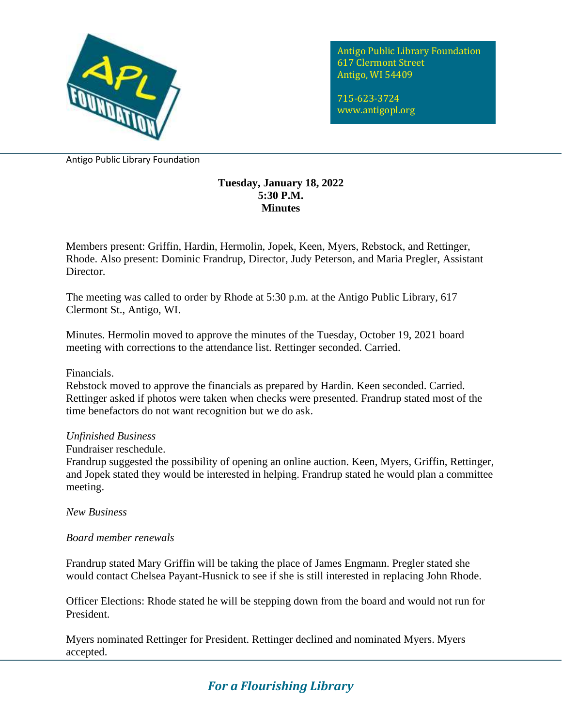

Antigo Public Library Foundation 617 Clermont Street Antigo, WI 54409

715-623-3724 www.antigopl.org

Antigo Public Library Foundation

### **Tuesday, January 18, 2022 5:30 P.M. Minutes**

Members present: Griffin, Hardin, Hermolin, Jopek, Keen, Myers, Rebstock, and Rettinger, Rhode. Also present: Dominic Frandrup, Director, Judy Peterson, and Maria Pregler, Assistant Director.

The meeting was called to order by Rhode at 5:30 p.m. at the Antigo Public Library, 617 Clermont St., Antigo, WI.

Minutes. Hermolin moved to approve the minutes of the Tuesday, October 19, 2021 board meeting with corrections to the attendance list. Rettinger seconded. Carried.

Financials.

Rebstock moved to approve the financials as prepared by Hardin. Keen seconded. Carried. Rettinger asked if photos were taken when checks were presented. Frandrup stated most of the time benefactors do not want recognition but we do ask.

### *Unfinished Business*

Fundraiser reschedule.

Frandrup suggested the possibility of opening an online auction. Keen, Myers, Griffin, Rettinger, and Jopek stated they would be interested in helping. Frandrup stated he would plan a committee meeting.

*New Business*

### *Board member renewals*

Frandrup stated Mary Griffin will be taking the place of James Engmann. Pregler stated she would contact Chelsea Payant-Husnick to see if she is still interested in replacing John Rhode.

Officer Elections: Rhode stated he will be stepping down from the board and would not run for President.

Myers nominated Rettinger for President. Rettinger declined and nominated Myers. Myers accepted.

# *For a Flourishing Library*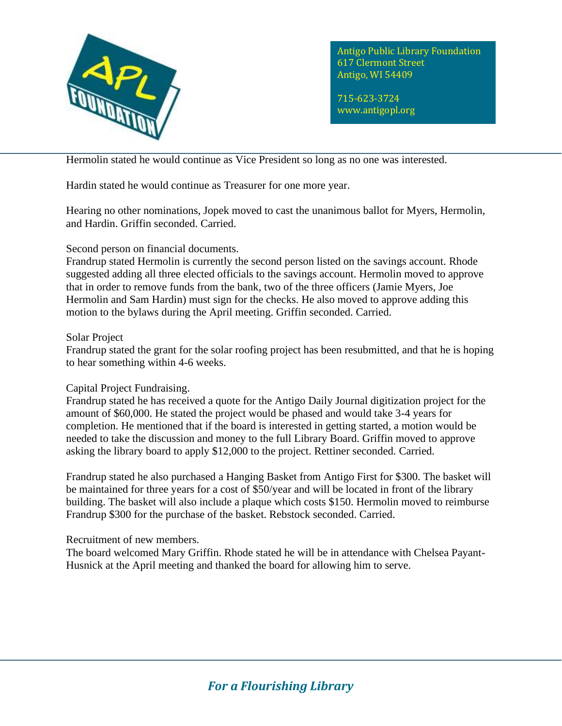

Antigo Public Library Foundation 617 Clermont Street Antigo, WI 54409

715-623-3724 www.antigopl.org

Hermolin stated he would continue as Vice President so long as no one was interested.

Hardin stated he would continue as Treasurer for one more year.

Hearing no other nominations, Jopek moved to cast the unanimous ballot for Myers, Hermolin, and Hardin. Griffin seconded. Carried.

## Second person on financial documents.

Frandrup stated Hermolin is currently the second person listed on the savings account. Rhode suggested adding all three elected officials to the savings account. Hermolin moved to approve that in order to remove funds from the bank, two of the three officers (Jamie Myers, Joe Hermolin and Sam Hardin) must sign for the checks. He also moved to approve adding this motion to the bylaws during the April meeting. Griffin seconded. Carried.

## Solar Project

Frandrup stated the grant for the solar roofing project has been resubmitted, and that he is hoping to hear something within 4-6 weeks.

## Capital Project Fundraising.

Frandrup stated he has received a quote for the Antigo Daily Journal digitization project for the amount of \$60,000. He stated the project would be phased and would take 3-4 years for completion. He mentioned that if the board is interested in getting started, a motion would be needed to take the discussion and money to the full Library Board. Griffin moved to approve asking the library board to apply \$12,000 to the project. Rettiner seconded. Carried.

Frandrup stated he also purchased a Hanging Basket from Antigo First for \$300. The basket will be maintained for three years for a cost of \$50/year and will be located in front of the library building. The basket will also include a plaque which costs \$150. Hermolin moved to reimburse Frandrup \$300 for the purchase of the basket. Rebstock seconded. Carried.

Recruitment of new members.

The board welcomed Mary Griffin. Rhode stated he will be in attendance with Chelsea Payant-Husnick at the April meeting and thanked the board for allowing him to serve.